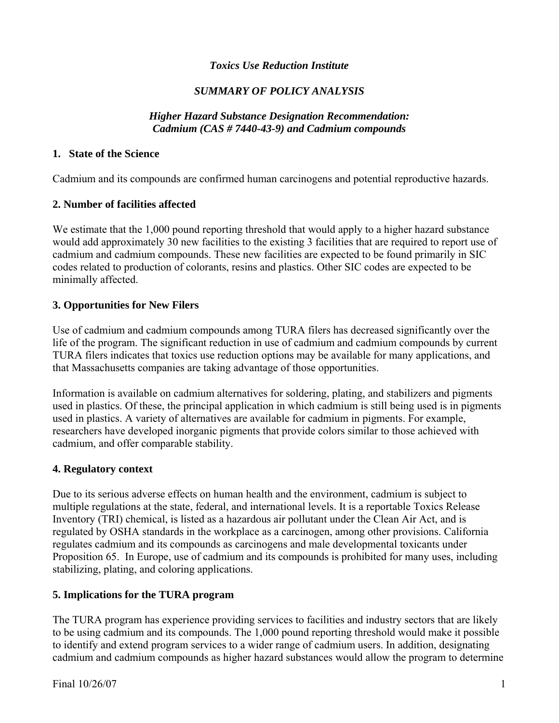## *Toxics Use Reduction Institute*

# *SUMMARY OF POLICY ANALYSIS*

### *Higher Hazard Substance Designation Recommendation: Cadmium (CAS # 7440-43-9) and Cadmium compounds*

### **1. State of the Science**

Cadmium and its compounds are confirmed human carcinogens and potential reproductive hazards.

## **2. Number of facilities affected**

We estimate that the 1,000 pound reporting threshold that would apply to a higher hazard substance would add approximately 30 new facilities to the existing 3 facilities that are required to report use of cadmium and cadmium compounds. These new facilities are expected to be found primarily in SIC codes related to production of colorants, resins and plastics. Other SIC codes are expected to be minimally affected.

## **3. Opportunities for New Filers**

Use of cadmium and cadmium compounds among TURA filers has decreased significantly over the life of the program. The significant reduction in use of cadmium and cadmium compounds by current TURA filers indicates that toxics use reduction options may be available for many applications, and that Massachusetts companies are taking advantage of those opportunities.

Information is available on cadmium alternatives for soldering, plating, and stabilizers and pigments used in plastics. Of these, the principal application in which cadmium is still being used is in pigments used in plastics. A variety of alternatives are available for cadmium in pigments. For example, researchers have developed inorganic pigments that provide colors similar to those achieved with cadmium, and offer comparable stability.

## **4. Regulatory context**

Due to its serious adverse effects on human health and the environment, cadmium is subject to multiple regulations at the state, federal, and international levels. It is a reportable Toxics Release Inventory (TRI) chemical, is listed as a hazardous air pollutant under the Clean Air Act, and is regulated by OSHA standards in the workplace as a carcinogen, among other provisions. California regulates cadmium and its compounds as carcinogens and male developmental toxicants under Proposition 65. In Europe, use of cadmium and its compounds is prohibited for many uses, including stabilizing, plating, and coloring applications.

## **5. Implications for the TURA program**

The TURA program has experience providing services to facilities and industry sectors that are likely to be using cadmium and its compounds. The 1,000 pound reporting threshold would make it possible to identify and extend program services to a wider range of cadmium users. In addition, designating cadmium and cadmium compounds as higher hazard substances would allow the program to determine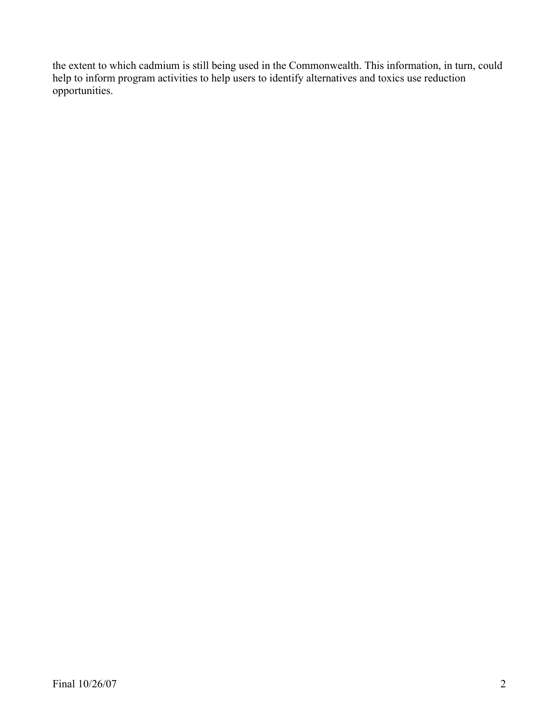the extent to which cadmium is still being used in the Commonwealth. This information, in turn, could help to inform program activities to help users to identify alternatives and toxics use reduction opportunities.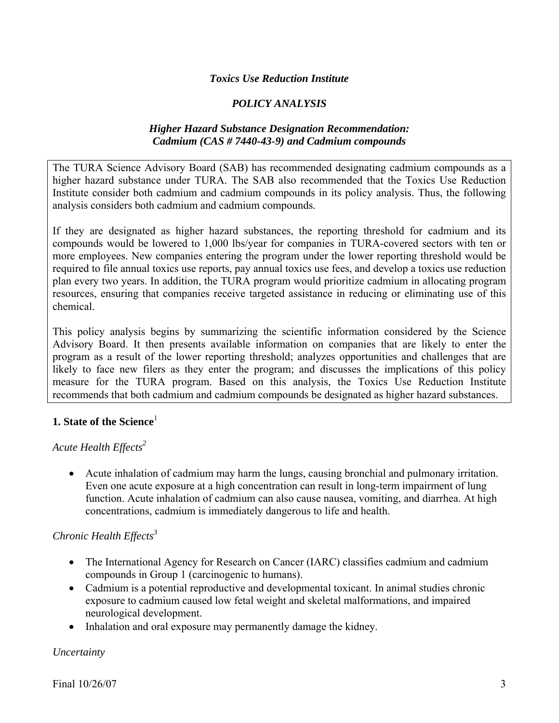### *Toxics Use Reduction Institute*

## *POLICY ANALYSIS*

### *Higher Hazard Substance Designation Recommendation: Cadmium (CAS # 7440-43-9) and Cadmium compounds*

The TURA Science Advisory Board (SAB) has recommended designating cadmium compounds as a higher hazard substance under TURA. The SAB also recommended that the Toxics Use Reduction Institute consider both cadmium and cadmium compounds in its policy analysis. Thus, the following analysis considers both cadmium and cadmium compounds.

If they are designated as higher hazard substances, the reporting threshold for cadmium and its compounds would be lowered to 1,000 lbs/year for companies in TURA-covered sectors with ten or more employees. New companies entering the program under the lower reporting threshold would be required to file annual toxics use reports, pay annual toxics use fees, and develop a toxics use reduction plan every two years. In addition, the TURA program would prioritize cadmium in allocating program resources, ensuring that companies receive targeted assistance in reducing or eliminating use of this chemical.

This policy analysis begins by summarizing the scientific information considered by the Science Advisory Board. It then presents available information on companies that are likely to enter the program as a result of the lower reporting threshold; analyzes opportunities and challenges that are likely to face new filers as they enter the program; and discusses the implications of this policy measure for the TURA program. Based on this analysis, the Toxics Use Reduction Institute recommends that both cadmium and cadmium compounds be designated as higher hazard substances.

## **1. State of the Science**<sup>1</sup>

## *Acute Health Effects2*

• Acute inhalation of cadmium may harm the lungs, causing bronchial and pulmonary irritation. Even one acute exposure at a high concentration can result in long-term impairment of lung function. Acute inhalation of cadmium can also cause nausea, vomiting, and diarrhea. At high concentrations, cadmium is immediately dangerous to life and health.

## *Chronic Health Effects*<sup>3</sup>

- The International Agency for Research on Cancer (IARC) classifies cadmium and cadmium compounds in Group 1 (carcinogenic to humans).
- Cadmium is a potential reproductive and developmental toxicant. In animal studies chronic exposure to cadmium caused low fetal weight and skeletal malformations, and impaired neurological development.
- Inhalation and oral exposure may permanently damage the kidney.

#### *Uncertainty*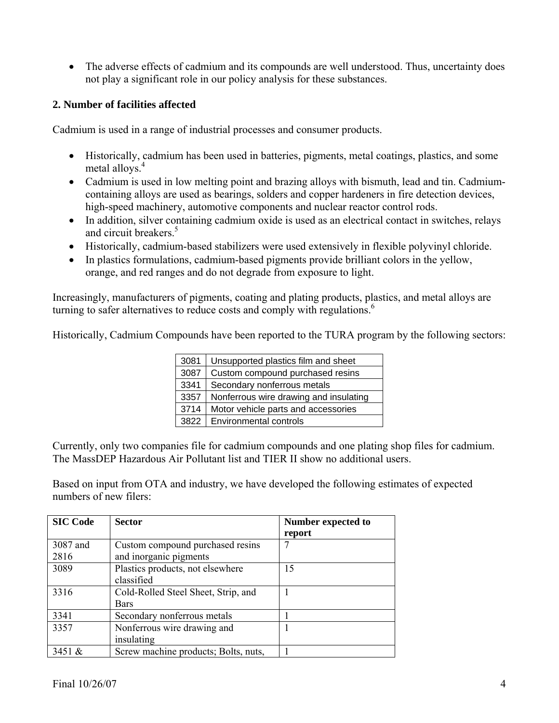• The adverse effects of cadmium and its compounds are well understood. Thus, uncertainty does not play a significant role in our policy analysis for these substances.

## **2. Number of facilities affected**

Cadmium is used in a range of industrial processes and consumer products.

- Historically, cadmium has been used in batteries, pigments, metal coatings, plastics, and some metal alloys.<sup>4</sup>
- Cadmium is used in low melting point and brazing alloys with bismuth, lead and tin. Cadmiumcontaining alloys are used as bearings, solders and copper hardeners in fire detection devices, high-speed machinery, automotive components and nuclear reactor control rods.
- In addition, silver containing cadmium oxide is used as an electrical contact in switches, relays and circuit breakers.<sup>5</sup>
- Historically, cadmium-based stabilizers were used extensively in flexible polyvinyl chloride.
- In plastics formulations, cadmium-based pigments provide brilliant colors in the yellow, orange, and red ranges and do not degrade from exposure to light.

Increasingly, manufacturers of pigments, coating and plating products, plastics, and metal alloys are turning to safer alternatives to reduce costs and comply with regulations.<sup>6</sup>

Historically, Cadmium Compounds have been reported to the TURA program by the following sectors:

| 3081 | Unsupported plastics film and sheet    |  |
|------|----------------------------------------|--|
| 3087 | Custom compound purchased resins       |  |
| 3341 | Secondary nonferrous metals            |  |
| 3357 | Nonferrous wire drawing and insulating |  |
| 3714 | Motor vehicle parts and accessories    |  |
| 3822 | Environmental controls                 |  |

Currently, only two companies file for cadmium compounds and one plating shop files for cadmium. The MassDEP Hazardous Air Pollutant list and TIER II show no additional users.

Based on input from OTA and industry, we have developed the following estimates of expected numbers of new filers:

| <b>SIC Code</b>  | <b>Sector</b>                                              | Number expected to<br>report |
|------------------|------------------------------------------------------------|------------------------------|
| 3087 and<br>2816 | Custom compound purchased resins<br>and inorganic pigments |                              |
| 3089             | Plastics products, not elsewhere<br>classified             | 15                           |
| 3316             | Cold-Rolled Steel Sheet, Strip, and<br><b>Bars</b>         |                              |
| 3341             | Secondary nonferrous metals                                |                              |
| 3357             | Nonferrous wire drawing and<br>insulating                  |                              |
| 3451 $\&$        | Screw machine products; Bolts, nuts,                       |                              |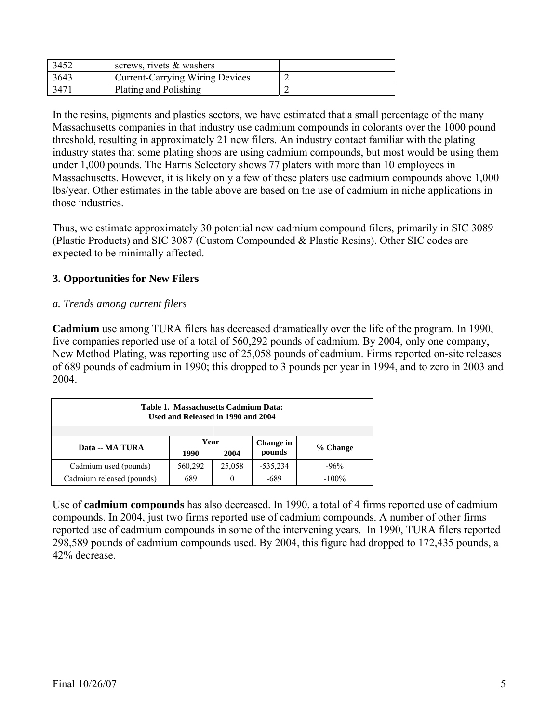| 3452 | screws, rivets $\&$ washers            |  |
|------|----------------------------------------|--|
| 3643 | <b>Current-Carrying Wiring Devices</b> |  |
| 3471 | Plating and Polishing                  |  |

In the resins, pigments and plastics sectors, we have estimated that a small percentage of the many Massachusetts companies in that industry use cadmium compounds in colorants over the 1000 pound threshold, resulting in approximately 21 new filers. An industry contact familiar with the plating industry states that some plating shops are using cadmium compounds, but most would be using them under 1,000 pounds. The Harris Selectory shows 77 platers with more than 10 employees in Massachusetts. However, it is likely only a few of these platers use cadmium compounds above 1,000 lbs/year. Other estimates in the table above are based on the use of cadmium in niche applications in those industries.

Thus, we estimate approximately 30 potential new cadmium compound filers, primarily in SIC 3089 (Plastic Products) and SIC 3087 (Custom Compounded & Plastic Resins). Other SIC codes are expected to be minimally affected.

# **3. Opportunities for New Filers**

## *a. Trends among current filers*

**Cadmium** use among TURA filers has decreased dramatically over the life of the program. In 1990, five companies reported use of a total of 560,292 pounds of cadmium. By 2004, only one company, New Method Plating, was reporting use of 25,058 pounds of cadmium. Firms reported on-site releases of 689 pounds of cadmium in 1990; this dropped to 3 pounds per year in 1994, and to zero in 2003 and 2004.

| Table 1. Massachusetts Cadmium Data:<br>Used and Released in 1990 and 2004 |                      |        |                     |          |
|----------------------------------------------------------------------------|----------------------|--------|---------------------|----------|
| Data -- MA TURA                                                            | Year<br>1990<br>2004 |        | Change in<br>pounds | % Change |
| Cadmium used (pounds)                                                      | 560,292              | 25,058 | $-535,234$          | $-96%$   |
| Cadmium released (pounds)                                                  | 689                  |        | -689                | $-100%$  |

Use of **cadmium compounds** has also decreased. In 1990, a total of 4 firms reported use of cadmium compounds. In 2004, just two firms reported use of cadmium compounds. A number of other firms reported use of cadmium compounds in some of the intervening years. In 1990, TURA filers reported 298,589 pounds of cadmium compounds used. By 2004, this figure had dropped to 172,435 pounds, a 42% decrease.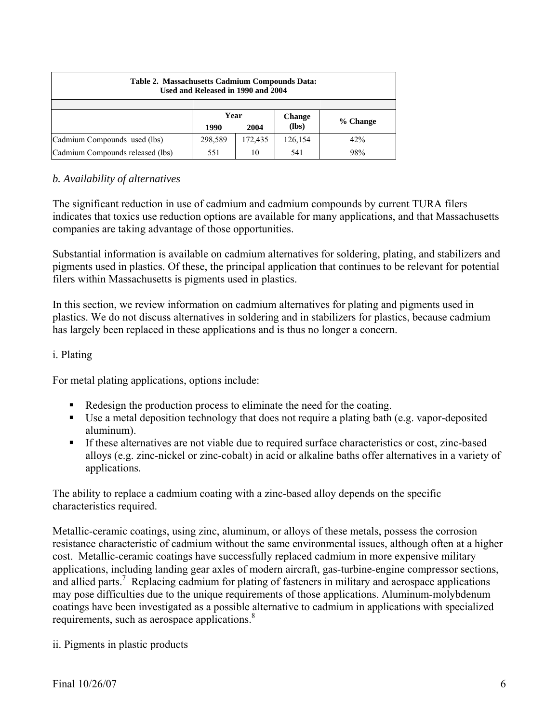| Table 2. Massachusetts Cadmium Compounds Data:<br>Used and Released in 1990 and 2004 |              |         |               |          |  |  |
|--------------------------------------------------------------------------------------|--------------|---------|---------------|----------|--|--|
|                                                                                      |              |         |               |          |  |  |
|                                                                                      | Year         |         | <b>Change</b> | % Change |  |  |
|                                                                                      | 1990<br>2004 |         | (lbs)         |          |  |  |
| Cadmium Compounds used (lbs)                                                         | 298,589      | 172,435 | 126,154       | 42%      |  |  |
| Cadmium Compounds released (lbs)                                                     | 551          | 10      | 541           | 98%      |  |  |

# *b. Availability of alternatives*

The significant reduction in use of cadmium and cadmium compounds by current TURA filers indicates that toxics use reduction options are available for many applications, and that Massachusetts companies are taking advantage of those opportunities.

Substantial information is available on cadmium alternatives for soldering, plating, and stabilizers and pigments used in plastics. Of these, the principal application that continues to be relevant for potential filers within Massachusetts is pigments used in plastics.

In this section, we review information on cadmium alternatives for plating and pigments used in plastics. We do not discuss alternatives in soldering and in stabilizers for plastics, because cadmium has largely been replaced in these applications and is thus no longer a concern.

## i. Plating

For metal plating applications, options include:

- Redesign the production process to eliminate the need for the coating.
- Use a metal deposition technology that does not require a plating bath (e.g. vapor-deposited aluminum).
- If these alternatives are not viable due to required surface characteristics or cost, zinc-based alloys (e.g. zinc-nickel or zinc-cobalt) in acid or alkaline baths offer alternatives in a variety of applications.

The ability to replace a cadmium coating with a zinc-based alloy depends on the specific characteristics required.

Metallic-ceramic coatings, using zinc, aluminum, or alloys of these metals, possess the corrosion resistance characteristic of cadmium without the same environmental issues, although often at a higher cost. Metallic-ceramic coatings have successfully replaced cadmium in more expensive military applications, including landing gear axles of modern aircraft, gas-turbine-engine compressor sections, and allied parts.<sup>7</sup> Replacing cadmium for plating of fasteners in military and aerospace applications may pose difficulties due to the unique requirements of those applications. Aluminum-molybdenum coatings have been investigated as a possible alternative to cadmium in applications with specialized requirements, such as aerospace applications.<sup>8</sup>

ii. Pigments in plastic products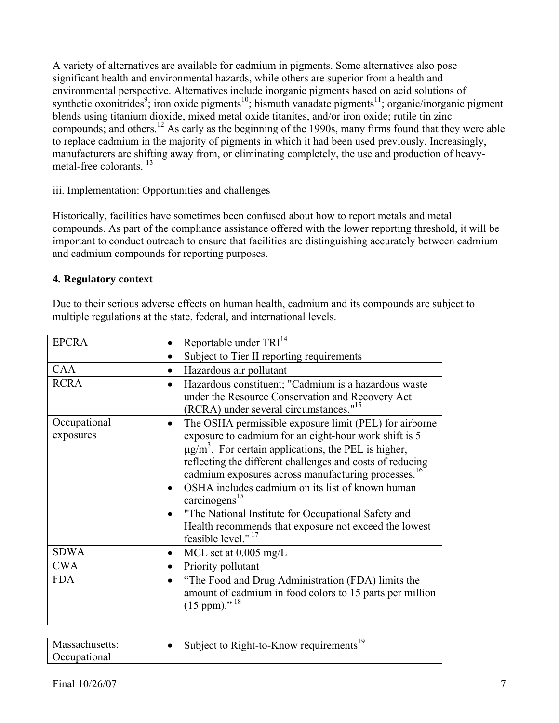A variety of alternatives are available for cadmium in pigments. Some alternatives also pose significant health and environmental hazards, while others are superior from a health and environmental perspective. Alternatives include inorganic pigments based on acid solutions of synthetic oxonitrides<sup>9</sup>; iron oxide pigments<sup>10</sup>; bismuth vanadate pigments<sup>11</sup>; organic/inorganic pigment blends using titanium dioxide, mixed metal oxide titanites, and/or iron oxide; rutile tin zinc compounds; and others.12 As early as the beginning of the 1990s, many firms found that they were able to replace cadmium in the majority of pigments in which it had been used previously. Increasingly, manufacturers are shifting away from, or eliminating completely, the use and production of heavymetal-free colorants.<sup>13</sup>

# iii. Implementation: Opportunities and challenges

Historically, facilities have sometimes been confused about how to report metals and metal compounds. As part of the compliance assistance offered with the lower reporting threshold, it will be important to conduct outreach to ensure that facilities are distinguishing accurately between cadmium and cadmium compounds for reporting purposes.

# **4. Regulatory context**

Due to their serious adverse effects on human health, cadmium and its compounds are subject to multiple regulations at the state, federal, and international levels.

| <b>EPCRA</b> | Reportable under TRI <sup>14</sup>                                                                                                                                          |
|--------------|-----------------------------------------------------------------------------------------------------------------------------------------------------------------------------|
|              | Subject to Tier II reporting requirements                                                                                                                                   |
| CAA          | Hazardous air pollutant<br>$\bullet$                                                                                                                                        |
| <b>RCRA</b>  | Hazardous constituent; "Cadmium is a hazardous waste<br>$\bullet$<br>under the Resource Conservation and Recovery Act<br>(RCRA) under several circumstances." <sup>15</sup> |
| Occupational | The OSHA permissible exposure limit (PEL) for airborne<br>$\bullet$                                                                                                         |
| exposures    | exposure to cadmium for an eight-hour work shift is 5                                                                                                                       |
|              | $\mu$ g/m <sup>3</sup> . For certain applications, the PEL is higher,                                                                                                       |
|              | reflecting the different challenges and costs of reducing                                                                                                                   |
|              | cadmium exposures across manufacturing processes. <sup>16</sup>                                                                                                             |
|              | OSHA includes cadmium on its list of known human<br>carcinogens <sup>15</sup>                                                                                               |
|              | "The National Institute for Occupational Safety and                                                                                                                         |
|              | Health recommends that exposure not exceed the lowest<br>feasible level." <sup>17</sup>                                                                                     |
| <b>SDWA</b>  | MCL set at $0.005$ mg/L                                                                                                                                                     |
| <b>CWA</b>   | Priority pollutant                                                                                                                                                          |
| <b>FDA</b>   | "The Food and Drug Administration (FDA) limits the<br>amount of cadmium in food colors to 15 parts per million<br>$(15 \text{ ppm})$ ." <sup>18</sup>                       |
|              |                                                                                                                                                                             |

| Massachusetts:<br><b>Occupational</b> | Subject to Right-to-Know requirements <sup>19</sup> |  |
|---------------------------------------|-----------------------------------------------------|--|
|---------------------------------------|-----------------------------------------------------|--|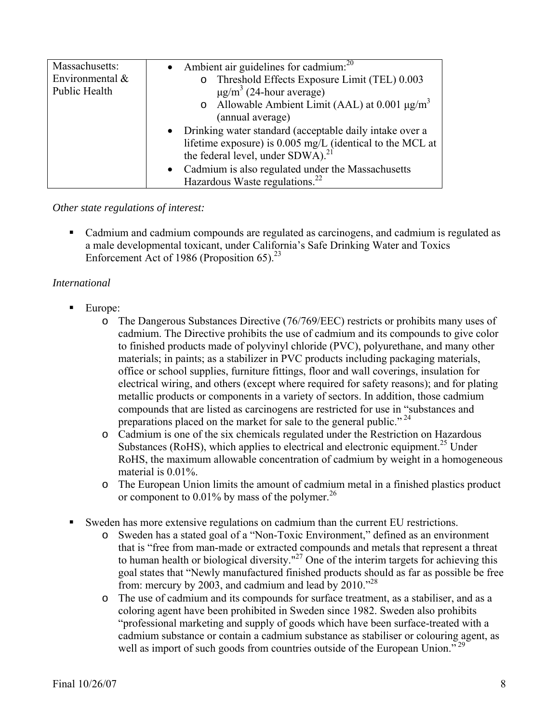| Massachusetts:<br>Environmental $\&$<br>Public Health | • Ambient air guidelines for cadmium: $^{20}$<br>o Threshold Effects Exposure Limit (TEL) 0.003<br>$\mu$ g/m <sup>3</sup> (24-hour average)<br>o Allowable Ambient Limit (AAL) at 0.001 $\mu$ g/m <sup>3</sup><br>(annual average)                                           |
|-------------------------------------------------------|------------------------------------------------------------------------------------------------------------------------------------------------------------------------------------------------------------------------------------------------------------------------------|
|                                                       | • Drinking water standard (acceptable daily intake over a<br>lifetime exposure) is 0.005 mg/L (identical to the MCL at<br>the federal level, under SDWA). <sup>21</sup><br>• Cadmium is also regulated under the Massachusetts<br>Hazardous Waste regulations. <sup>22</sup> |

*Other state regulations of interest:* 

 Cadmium and cadmium compounds are regulated as carcinogens, and cadmium is regulated as a male developmental toxicant, under California's Safe Drinking Water and Toxics Enforcement Act of 1986 (Proposition 65).<sup>23</sup>

# *International*

- $\blacksquare$  Europe:
	- o The Dangerous Substances Directive (76/769/EEC) restricts or prohibits many uses of cadmium. The Directive prohibits the use of cadmium and its compounds to give color to finished products made of polyvinyl chloride (PVC), polyurethane, and many other materials; in paints; as a stabilizer in PVC products including packaging materials, office or school supplies, furniture fittings, floor and wall coverings, insulation for electrical wiring, and others (except where required for safety reasons); and for plating metallic products or components in a variety of sectors. In addition, those cadmium compounds that are listed as carcinogens are restricted for use in "substances and preparations placed on the market for sale to the general public."<sup>24</sup>
	- o Cadmium is one of the six chemicals regulated under the Restriction on Hazardous Substances (RoHS), which applies to electrical and electronic equipment.<sup>25</sup> Under RoHS, the maximum allowable concentration of cadmium by weight in a homogeneous material is 0.01%.
	- o The European Union limits the amount of cadmium metal in a finished plastics product or component to  $0.01\%$  by mass of the polymer.<sup>26</sup>
- Sweden has more extensive regulations on cadmium than the current EU restrictions.
	- o Sweden has a stated goal of a "Non-Toxic Environment," defined as an environment that is "free from man-made or extracted compounds and metals that represent a threat to human health or biological diversity."<sup>27</sup> One of the interim targets for achieving this goal states that "Newly manufactured finished products should as far as possible be free from: mercury by 2003, and cadmium and lead by  $2010.^{228}$
	- o The use of cadmium and its compounds for surface treatment, as a stabiliser, and as a coloring agent have been prohibited in Sweden since 1982. Sweden also prohibits "professional marketing and supply of goods which have been surface-treated with a cadmium substance or contain a cadmium substance as stabiliser or colouring agent, as well as import of such goods from countries outside of the European Union.<sup>729</sup>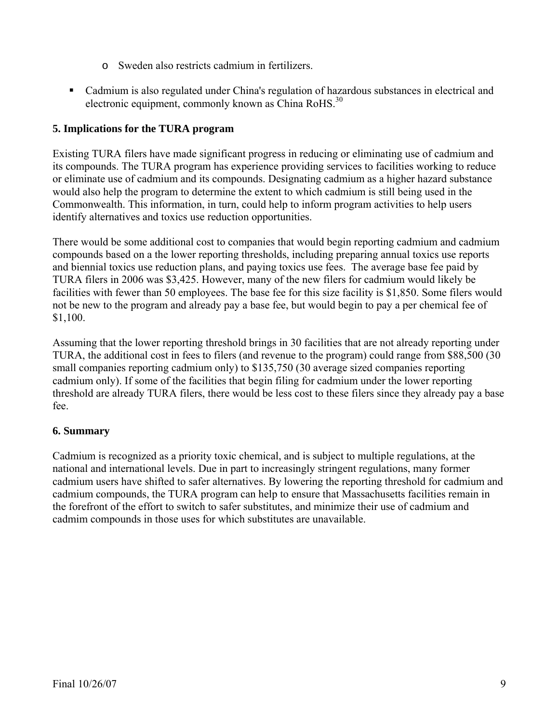- o Sweden also restricts cadmium in fertilizers.
- Cadmium is also regulated under China's regulation of hazardous substances in electrical and electronic equipment, commonly known as China RoHS. $^{30}$

# **5. Implications for the TURA program**

Existing TURA filers have made significant progress in reducing or eliminating use of cadmium and its compounds. The TURA program has experience providing services to facilities working to reduce or eliminate use of cadmium and its compounds. Designating cadmium as a higher hazard substance would also help the program to determine the extent to which cadmium is still being used in the Commonwealth. This information, in turn, could help to inform program activities to help users identify alternatives and toxics use reduction opportunities.

There would be some additional cost to companies that would begin reporting cadmium and cadmium compounds based on a the lower reporting thresholds, including preparing annual toxics use reports and biennial toxics use reduction plans, and paying toxics use fees. The average base fee paid by TURA filers in 2006 was \$3,425. However, many of the new filers for cadmium would likely be facilities with fewer than 50 employees. The base fee for this size facility is \$1,850. Some filers would not be new to the program and already pay a base fee, but would begin to pay a per chemical fee of \$1,100.

Assuming that the lower reporting threshold brings in 30 facilities that are not already reporting under TURA, the additional cost in fees to filers (and revenue to the program) could range from \$88,500 (30 small companies reporting cadmium only) to \$135,750 (30 average sized companies reporting cadmium only). If some of the facilities that begin filing for cadmium under the lower reporting threshold are already TURA filers, there would be less cost to these filers since they already pay a base fee.

## **6. Summary**

Cadmium is recognized as a priority toxic chemical, and is subject to multiple regulations, at the national and international levels. Due in part to increasingly stringent regulations, many former cadmium users have shifted to safer alternatives. By lowering the reporting threshold for cadmium and cadmium compounds, the TURA program can help to ensure that Massachusetts facilities remain in the forefront of the effort to switch to safer substitutes, and minimize their use of cadmium and cadmim compounds in those uses for which substitutes are unavailable.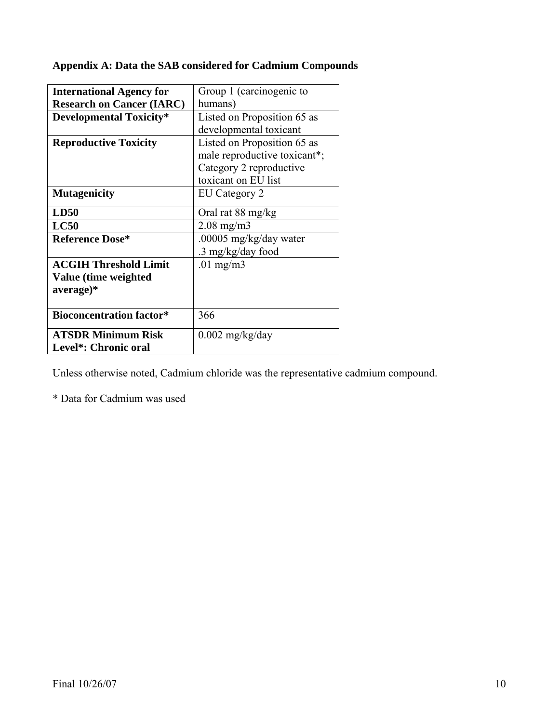|  |  | Appendix A: Data the SAB considered for Cadmium Compounds |  |
|--|--|-----------------------------------------------------------|--|
|  |  |                                                           |  |
|  |  |                                                           |  |

| <b>International Agency for</b>  | Group 1 (carcinogenic to     |
|----------------------------------|------------------------------|
| <b>Research on Cancer (IARC)</b> | humans)                      |
| <b>Developmental Toxicity*</b>   | Listed on Proposition 65 as  |
|                                  | developmental toxicant       |
| <b>Reproductive Toxicity</b>     | Listed on Proposition 65 as  |
|                                  | male reproductive toxicant*; |
|                                  | Category 2 reproductive      |
|                                  | toxicant on EU list          |
| <b>Mutagenicity</b>              | EU Category 2                |
| LD50                             | Oral rat 88 mg/kg            |
| LC50                             | $2.08 \text{ mg/m}$          |
| <b>Reference Dose*</b>           | .00005 mg/kg/day water       |
|                                  | .3 mg/kg/day food            |
| <b>ACGIH Threshold Limit</b>     | .01 mg/m $3$                 |
| Value (time weighted             |                              |
| average)*                        |                              |
|                                  |                              |
| <b>Bioconcentration factor*</b>  | 366                          |
| <b>ATSDR Minimum Risk</b>        | $0.002$ mg/kg/day            |
| Level*: Chronic oral             |                              |

Unless otherwise noted, Cadmium chloride was the representative cadmium compound.

\* Data for Cadmium was used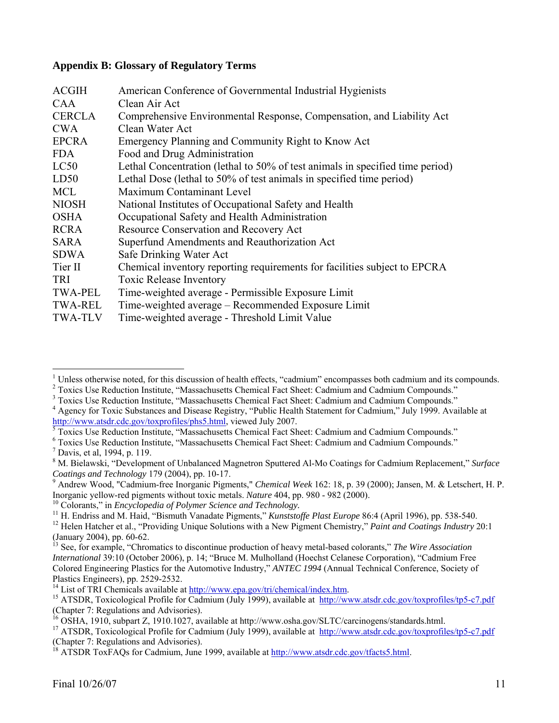### **Appendix B: Glossary of Regulatory Terms**

| <b>ACGIH</b>   | American Conference of Governmental Industrial Hygienists                     |
|----------------|-------------------------------------------------------------------------------|
| CAA            | Clean Air Act                                                                 |
| <b>CERCLA</b>  | Comprehensive Environmental Response, Compensation, and Liability Act         |
| <b>CWA</b>     | Clean Water Act                                                               |
| <b>EPCRA</b>   | Emergency Planning and Community Right to Know Act                            |
| <b>FDA</b>     | Food and Drug Administration                                                  |
| LC50           | Lethal Concentration (lethal to 50% of test animals in specified time period) |
| LD50           | Lethal Dose (lethal to 50% of test animals in specified time period)          |
| <b>MCL</b>     | Maximum Contaminant Level                                                     |
| <b>NIOSH</b>   | National Institutes of Occupational Safety and Health                         |
| <b>OSHA</b>    | Occupational Safety and Health Administration                                 |
| <b>RCRA</b>    | Resource Conservation and Recovery Act                                        |
| SARA           | Superfund Amendments and Reauthorization Act                                  |
| SDWA           | Safe Drinking Water Act                                                       |
| Tier II        | Chemical inventory reporting requirements for facilities subject to EPCRA     |
| <b>TRI</b>     | <b>Toxic Release Inventory</b>                                                |
| <b>TWA-PEL</b> | Time-weighted average - Permissible Exposure Limit                            |
| <b>TWA-REL</b> | Time-weighted average – Recommended Exposure Limit                            |
| <b>TWA-TLV</b> | Time-weighted average - Threshold Limit Value                                 |

<sup>&</sup>lt;sup>1</sup> Unless otherwise noted, for this discussion of health effects, "cadmium" encompasses both cadmium and its compounds.<br><sup>2</sup> Toxics Use Beduction Institute, "Messeehusetts Chamical Feet Sheet: Cedmium and Cedmium Compounds

<sup>&</sup>lt;sup>2</sup> Toxics Use Reduction Institute, "Massachusetts Chemical Fact Sheet: Cadmium and Cadmium Compounds."  $3$  Toxics Use Reduction Institute, "Massachusetts Chemical East Sheet: Cadmium and Cadmium Compounds."

<sup>&</sup>lt;sup>3</sup> Toxics Use Reduction Institute, "Massachusetts Chemical Fact Sheet: Cadmium and Cadmium Compounds."<br><sup>4</sup> A sonay for Toxic Substances and Disease Bosistry, "Dublic Health Statement for Cadmium" Iuly 1000, Ayei

<sup>&</sup>lt;sup>4</sup> Agency for Toxic Substances and Disease Registry, "Public Health Statement for Cadmium," July 1999. Available at http://www.atsdr.cdc.gov/toxprofiles/phs5.html, viewed July 2007.

Toxics Use Reduction Institute, "Massachusetts Chemical Fact Sheet: Cadmium and Cadmium Compounds." 6

Toxics Use Reduction Institute, "Massachusetts Chemical Fact Sheet: Cadmium and Cadmium Compounds." 7 Davis, et al, 1994, p. 119.

<sup>8</sup> M. Bielawski, "Development of Unbalanced Magnetron Sputtered Al-Mo Coatings for Cadmium Replacement," *Surface Coatings and Technology* 179 (2004), pp. 10-17.

<sup>&</sup>lt;sup>9</sup> Andrew Wood, "Cadmium-free Inorganic Pigments," *Chemical Week* 162: 18, p. 39 (2000); Jansen, M. & Letschert, H. P.<br>Inorganic vellow-red pigments without toxic metals. Nature 404, pp. 980 - 982 (2000).

<sup>&</sup>lt;sup>10</sup> Colorants," in *Encyclopedia of Polymer Science and Technology*.<br><sup>11</sup> H. Endriss and M. Haid, "Bismuth Vanadate Pigments," *Kunststoffe Plast Europe* 86:4 (April 1996), pp. 538-540.<br><sup>12</sup> Helen Hatcher et al., "Provid

<sup>(</sup>January 2004), pp. 60-62.

<sup>13</sup> See, for example, "Chromatics to discontinue production of heavy metal-based colorants," *The Wire Association International* 39:10 (October 2006), p. 14; "Bruce M. Mulholland (Hoechst Celanese Corporation), "Cadmium Free Colored Engineering Plastics for the Automotive Industry," *ANTEC 1994* (Annual Technical Conference, Society of Plastics Engineers), pp. 2529-2532.<br><sup>14</sup> List of TRI Chemicals available at http://www.epa.gov/tri/chemical/index.htm.

<sup>&</sup>lt;sup>15</sup> ATSDR, Toxicological Profile for Cadmium (July 1999), available at http://www.atsdr.cdc.gov/toxprofiles/tp5-c7.pdf (Chapter 7: Regulations and Advisories).

<sup>&</sup>lt;sup>16</sup> OSHA, 1910, subpart Z, 1910.1027, available at http://www.osha.gov/SLTC/carcinogens/standards.html.<br><sup>17</sup> ATSDR, Toxicological Profile for Cadmium (July 1999), available at http://www.atsdr.cdc.gov/toxprofiles/tp5-c7.

<sup>(</sup>Chapter 7: Regulations and Advisories).

<sup>&</sup>lt;sup>18</sup> ATSDR ToxFAQs for Cadmium, June 1999, available at http://www.atsdr.cdc.gov/tfacts5.html.